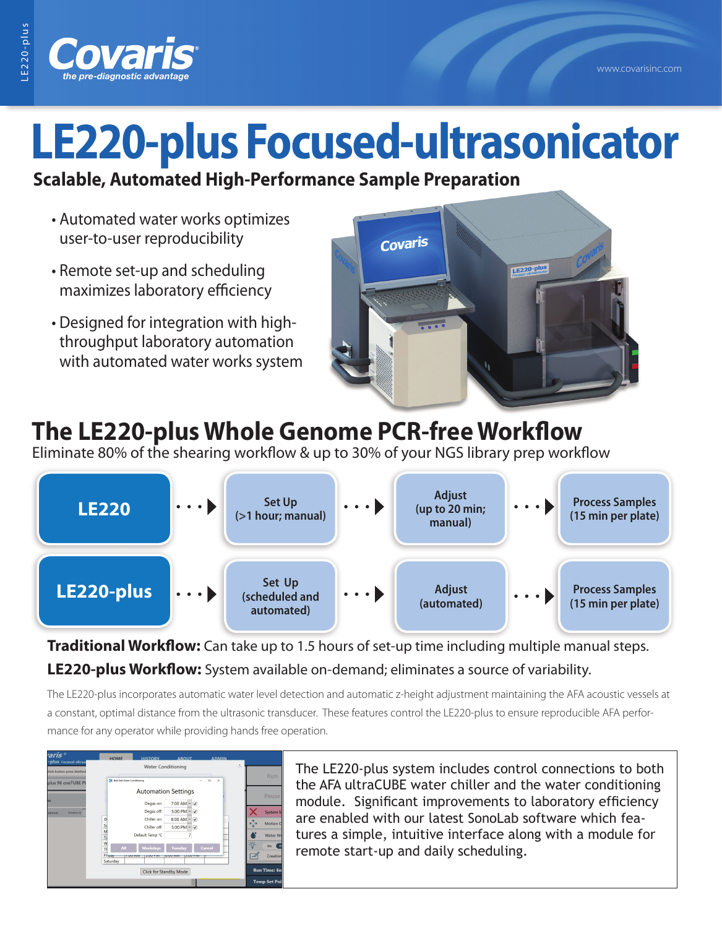

## **LE220-plus Focused-ultrasonicator**

## **Scalable, Automated High-Performance Sample Preparation**

- Automated water works optimizes user-to-user reproducibility
- Remote set-up and scheduling maximizes laboratory efficiency
- Designed for integration with highthroughput laboratory automation with automated water works system



## **The LE220-plus Whole Genome PCR-free Workflow**

Eliminate 80% of the shearing workflow & up to 30% of your NGS library prep workflow



**Traditional Workflow:** Can take up to 1.5 hours of set-up time including multiple manual steps. **LE220-plus Workflow:** System available on-demand; eliminates a source of variability.

The LE220-plus incorporates automatic water level detection and automatic z-height adjustment maintaining the AFA acoustic vessels at a constant, optimal distance from the ultrasonic transducer. These features control the LE220-plus to ensure reproducible AFA performance for any operator while providing hands free operation.



The LE220-plus system includes control connections to both the AFA ultraCUBE water chiller and the water conditioning module. Significant improvements to laboratory efficiency are enabled with our latest SonoLab software which features a simple, intuitive interface along with a module for remote start-up and daily scheduling.